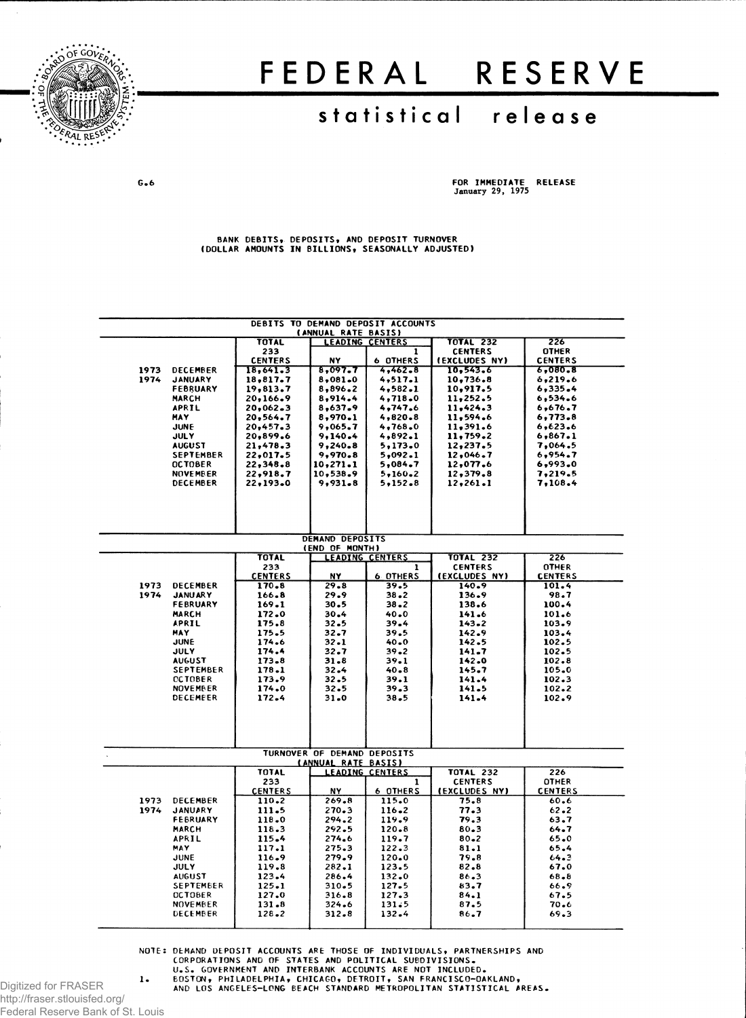

# FEDERAL RESERVE

## **statistica l releas e**

**G.6 FOR IMMEDIATE RELEASE** January 29, 1975

**BANK DEBITS, DEPOSITS, AND DEPOSIT TURNOVER (DOLLAR AMOUNTS IN BILLIONS, SEASONALLY ADJUSTED)**

| DEBITS TO DEMAND DEPOSIT ACCOUNTS<br>(ANNUAL RATE BASIS) |                             |                         |                             |                        |                        |                         |  |  |  |
|----------------------------------------------------------|-----------------------------|-------------------------|-----------------------------|------------------------|------------------------|-------------------------|--|--|--|
|                                                          |                             | <b>TOTAL</b>            |                             | LEADING CENTERS        | <b>TOTAL 232</b>       | 226                     |  |  |  |
|                                                          |                             | 233                     |                             | 1                      | <b>CENTERS</b>         | <b>OTHER</b>            |  |  |  |
|                                                          |                             | <b>CENTERS</b>          | NY                          | <b>6 OTHERS</b>        | (EXCLUDES NY)          | <b>CENTERS</b>          |  |  |  |
| 1973                                                     | <b>DECEMBER</b>             | 18,641.3                | 8.097.7                     | 4,462.8                | 10,543.6               | 6,080.8                 |  |  |  |
| 1974                                                     | <b>JANUARY</b>              | 18.817.7                | 8.081.0                     | 4,517.1                | 10,736.8               | 6,219.6                 |  |  |  |
|                                                          | <b>FEBRUARY</b>             | 19,813.7                | 8,896.2                     | 4,582.1                | 10,917.5               | 6,335.4                 |  |  |  |
|                                                          | <b>MARCH</b>                | 20,166.9                | 8,914.4                     | 4,718.0                | 11,252.5               | 6, 534.6                |  |  |  |
|                                                          | <b>APRIL</b><br><b>MAY</b>  | 20,062.3<br>20,564.7    | 8,637.9<br>8,970.1          | 4,747.6<br>4,820.8     | 11,424.3<br>11,594.6   | 6,676.7<br>6,773.8      |  |  |  |
|                                                          | JUNE                        | 20,457.3                | 9,065.7                     | 4,768.0                | 11,391.6               | 6,623.6                 |  |  |  |
|                                                          | <b>JULY</b>                 | 20,899.6                | 9,140.4                     | 4,892.1                | 11,759.2               | 6,867.1                 |  |  |  |
|                                                          | <b>AUGUST</b>               | 21,478.3                | 9,240.8                     | 5,173.0                | 12,237.5               | 7.064.5                 |  |  |  |
|                                                          | <b>SEPTEMBER</b>            | 22,017.5                | 9,970.8                     | 5,092.1                | 12,046.7               | 6,954.7                 |  |  |  |
|                                                          | <b>OCTOBER</b>              | 22,348.8                | 10,271.1                    | 5,084.7                | 12,077.6               | 6,993.0                 |  |  |  |
|                                                          | <b>NOVEMBER</b>             | 22,918.7                | 10,538.9                    | 5,160.2                | 12,379.8               | 7,219.5                 |  |  |  |
|                                                          | <b>DECEMBER</b>             | 22,193.0                | 9,931.8                     | 5,152.8                | 12,261.1               | 7,108.4                 |  |  |  |
|                                                          |                             |                         |                             |                        |                        |                         |  |  |  |
|                                                          |                             |                         |                             |                        |                        |                         |  |  |  |
|                                                          |                             |                         |                             |                        |                        |                         |  |  |  |
|                                                          |                             |                         |                             |                        |                        |                         |  |  |  |
|                                                          |                             |                         | DEMAND DEPOSITS             |                        |                        |                         |  |  |  |
|                                                          |                             |                         | (END OF MONTH)              |                        |                        |                         |  |  |  |
|                                                          |                             | <b>TOTAL</b>            |                             | <b>LEADING CENTERS</b> | <b>TOTAL 232</b>       | 226                     |  |  |  |
|                                                          |                             | 233                     | NY.                         | ı<br><b>6 OTHERS</b>   | <b>CENTERS</b>         | <b>OTHER</b>            |  |  |  |
| 1973                                                     | DECEMBER                    | <b>CENTERS</b><br>170.8 | $29 - 8$                    | 39.5                   | (EXCLUDES NY)<br>140.9 | <b>CENTERS</b><br>101.4 |  |  |  |
| 1974                                                     | <b>JANUARY</b>              | 166.8                   | 29.9                        | $38 - 2$               | 136.9                  | 98.7                    |  |  |  |
|                                                          | FEBRUARY                    | 169.1                   | 30.5                        | $38 - 2$               | 138.6                  | 100.4                   |  |  |  |
|                                                          | <b>MARCH</b>                | 172.0                   | 30.4                        | $40 - 0$               | 141.6                  | 101.6                   |  |  |  |
|                                                          | <b>APRIL</b>                | 175.8                   | $32 - 5$                    | 39.4                   | $143 - 2$              | 103.9                   |  |  |  |
|                                                          | <b>MAY</b>                  | 175.5                   | $32 - 7$                    | 39.5                   | 142.9                  | 103.4                   |  |  |  |
|                                                          | JUNE                        | 174.6                   | 32.1                        | 40.0                   | 142.5                  | 102.5                   |  |  |  |
|                                                          | JULY                        | 174.4                   | 32.7                        | $39 - 2$               | 141.7                  | 102.5                   |  |  |  |
|                                                          | <b>AUGUST</b>               | 173.8                   | $31 - 8$                    | $39 - 1$               | 142.0                  | 102.8                   |  |  |  |
|                                                          | <b>SEPTEMBER</b>            | 178.1                   | 32.4                        | $40 - 8$               | 145.7                  | 105.0                   |  |  |  |
|                                                          | <b>CCTOBER</b>              | 173.9                   | 32.5                        | 39.1                   | 141.4                  | 102.3                   |  |  |  |
|                                                          | <b>NOVEMBER</b>             | 174.0                   | 32.5                        | 39.3                   | 141.5                  | 102.2                   |  |  |  |
|                                                          | <b>DECEMEER</b>             | 172.4                   | 31.0                        | 38.5                   | 141.4                  | 102.9                   |  |  |  |
|                                                          |                             |                         |                             |                        |                        |                         |  |  |  |
|                                                          |                             |                         |                             |                        |                        |                         |  |  |  |
|                                                          |                             |                         |                             |                        |                        |                         |  |  |  |
|                                                          |                             |                         |                             |                        |                        |                         |  |  |  |
|                                                          |                             |                         | TURNOVER OF DEMAND DEPOSITS |                        |                        |                         |  |  |  |
|                                                          |                             | TOTAL                   | (ANNUAL RATE BASIS)         | <b>LEADING CENTERS</b> | <b>TOTAL 232</b>       | 226                     |  |  |  |
|                                                          |                             | 233                     |                             | 1                      | <b>CENTERS</b>         | <b>OTHER</b>            |  |  |  |
|                                                          |                             | <b>CENTERS</b>          | NY                          | 6 OTHERS               | (EXCLUDES NY)          | <b>CENTERS</b>          |  |  |  |
| 1973                                                     | <b>DECEMBER</b>             | $110 - 2$               | 269.8                       | 115.0                  | 75.8                   | 60.6                    |  |  |  |
| 1974                                                     | <b>JANUARY</b>              | 111.5                   | $270 - 3$                   | 116.2                  | 77.3                   | $62 - 2$                |  |  |  |
|                                                          | <b>FEBRUARY</b>             | 118.0                   | 294.2                       | 119.9                  | 79.3                   | 63.7                    |  |  |  |
|                                                          | <b>MARCH</b>                | 118.3                   | 292.5                       | $120 - 8$              | $80 - 3$               | 64.7                    |  |  |  |
|                                                          | APRIL                       | 115.4                   | 274.6                       | 119.7                  | $80 - 2$               | $65 - 0$                |  |  |  |
|                                                          | <b>MAY</b>                  | 117.1                   | 275.3                       | $122 - 3$              | 81.1                   | 65.4                    |  |  |  |
|                                                          | JUNE                        | 116.9                   | 279.9                       | 120.0                  | 79.8                   | 64.3                    |  |  |  |
|                                                          | <b>JULY</b>                 | 119.8                   | 282.1                       | 123.5                  | 82.8                   | 67.0                    |  |  |  |
|                                                          | AUGUST                      | $123 - 4$               | 286.4                       | 132.0                  | 86.3                   | $68 - 8$                |  |  |  |
|                                                          | SEPTEMBER                   | $125 - 1$               | $310-5$                     | 127.5                  | 83.7                   | 66.9                    |  |  |  |
|                                                          | <b>OCTOBER</b>              | 127.0                   | 316.8                       | 127.3                  | 84.1                   | 67.5                    |  |  |  |
|                                                          | <b>NOVEMBER</b><br>DECEMBER | 131.8<br>$128 - 2$      | 324.6<br>312.8              | 131.5<br>$132 - 4$     | 87.5<br>$86 - 7$       | 70.6<br>69.3            |  |  |  |
|                                                          |                             |                         |                             |                        |                        |                         |  |  |  |
|                                                          |                             |                         |                             |                        |                        |                         |  |  |  |

NOTE: DEMAND DEPOSIT ACCOUNTS ARE THOSE OF INDIVIDUALS, PARTNERSHIPS AND<br>CORPORATIONS AND OF STATES AND POLITICAL SUBDIVISIONS.<br>U.S. GOVERNMENT AND INTERBANK ACCOUNTS ARE NOT INCLUDED.<br>Digitized for FRASER

http://fraser.stlouisfed.org/ Federal Reserve Bank of St. Louis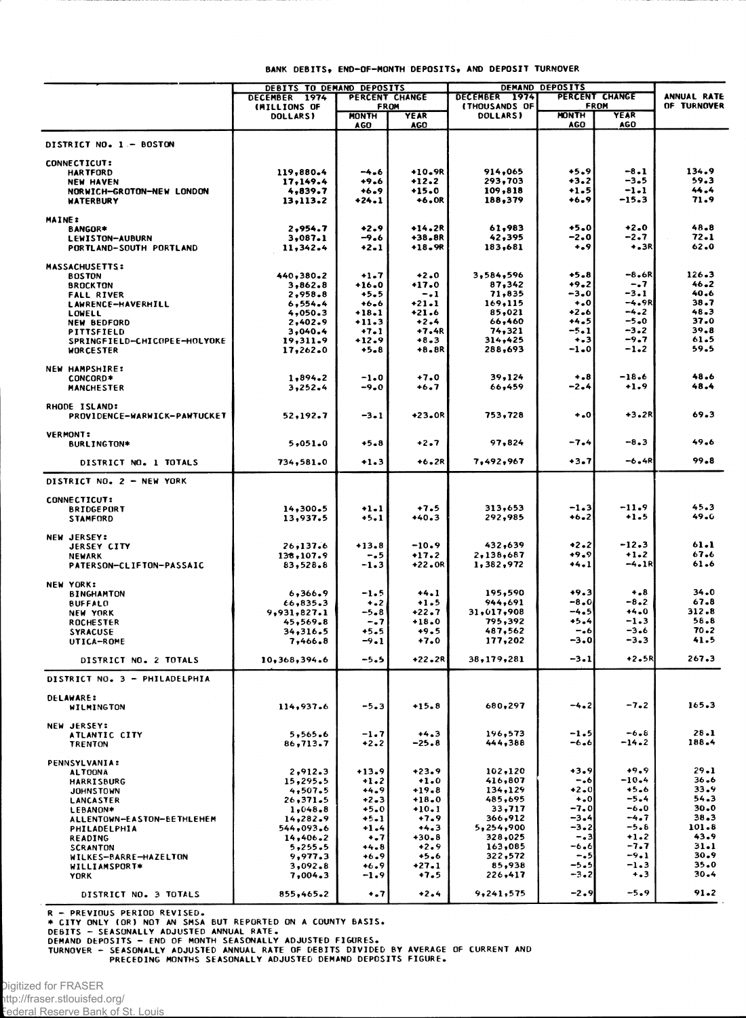|                                                  | BANK DEBITS, END-OF-MONTH DEPOSITS, AND DEPOSIT TURNOVER |                            |                    |                           |                             |                 |              |  |  |
|--------------------------------------------------|----------------------------------------------------------|----------------------------|--------------------|---------------------------|-----------------------------|-----------------|--------------|--|--|
|                                                  | DEBITS TO DEMAND DEPOSITS                                |                            |                    | DEMAND DEPOSITS           |                             |                 |              |  |  |
|                                                  | DECEMBER 1974                                            | PERCENT CHANGE             |                    | DECEMBER 1974             | PERCENT CHANGE              |                 | ANNUAL RATE  |  |  |
|                                                  | (MILLIONS OF                                             | <b>FROM</b><br><b>YEAR</b> |                    | (THOUSANDS OF<br>DOLLARS) | <b>FROM</b><br><b>MONTH</b> | YEAR            | OF TURNOVER  |  |  |
|                                                  | <b>DOLLARS</b>                                           | <b>MONTH</b><br><b>AGO</b> | <b>AGO</b>         |                           | AGO                         | AGO             |              |  |  |
| DISTRICT NO. 1 - BOSTON                          |                                                          |                            |                    |                           |                             |                 |              |  |  |
| <b>CONNECTICUT:</b>                              |                                                          |                            |                    |                           |                             |                 |              |  |  |
| <b>HARTFORD</b>                                  | 119,880.4                                                | -4.6                       | +10.9R             | 914,065                   | $+5.9$                      | $-8.1$          | 134.9        |  |  |
| NEW HAVEN                                        | 17,149.4                                                 | +9.6                       | $+12.2$            | 293,703                   | $+3.2$                      | $-3-5$          | 59.3         |  |  |
| NORWICH-GROTON-NEW LONDON<br><b>WATERBURY</b>    | 4,839.7<br>13,113.2                                      | $+6.9$<br>+24.1            | $+15.0$<br>$+6.0R$ | 109,818<br>188,379        | $+1.5$<br>+6.9              | $-1-1$<br>-15.3 | 44.4<br>71.9 |  |  |
|                                                  |                                                          |                            |                    |                           |                             |                 |              |  |  |
| <b>MAINE:</b><br>BANGOR*                         | 2,954.7                                                  | $+2.9$                     | +14.2R             | 61,983                    | $+5.0$                      | $+2.0$          | 48.8         |  |  |
| LEWISTON-AUBURN                                  | 3,087.1                                                  | -9.6                       | +38.8R             | 42,395                    | -2.0                        | -2.7            | 72.1         |  |  |
| PORTLAND-SOUTH PORTLAND                          | 11,342.4                                                 | +2.1                       | +18.9R             | 183,681                   | $+0.9$                      | $+3R$           | 62.0         |  |  |
| <b>MASSACHUSETTS:</b>                            |                                                          |                            |                    |                           |                             |                 |              |  |  |
| <b>BOSTON</b>                                    | $440,380-2$                                              | $+1.7$                     | $+2.0$             | 3,584,596                 | $+5.8$                      | $-8.6R$         | 126.3        |  |  |
| <b>BROCKTON</b>                                  | 3,862.8                                                  | $+16.0$                    | $+17.0$            | 87,342                    | $+9.2$                      | $-1.7$          | 46.2         |  |  |
| <b>FALL RIVER</b>                                | 2,958.8                                                  | +5.5                       | $-.1$              | 71,835                    | -3.0                        | -3.1            | 40.6         |  |  |
| LAWRENCE-HAVERHILL                               | 6,554.4                                                  | $+6.6$                     | +21.1              | 169,115                   | $\ddotsc$                   | -4.9R           | 38.7         |  |  |
| <b>LOWELL</b>                                    | 4,050.3                                                  | $+18.1$                    | +21.6              | 85,021                    | +2.6                        | -4.2            | 48.3         |  |  |
| NEW BEDFORD                                      | 2,402.9                                                  | $+11.3$                    | $+2.4$             | 66,460<br>74,321          | +4.5<br>-5.1                | $-5-0$<br>-3.2  | 37.0<br>39.8 |  |  |
| PITTSFIELD                                       | 3,040.4                                                  | $+7.1$<br>$+12.9$          | +7.4R<br>$+8.3$    | 314,425                   | $+ - 3$                     | -9.7            | 61.5         |  |  |
| SPRINGFIELD-CHICOPEE-HOLYOKE<br><b>WORCESTER</b> | 19,311.9<br>17,262.0                                     | +5.8                       | +8.8R              | 288,693                   | $-1.0$                      | -1.2            | 59.5         |  |  |
|                                                  |                                                          |                            |                    |                           |                             |                 |              |  |  |
| <b>NEW HAMPSHIRE:</b>                            |                                                          | $-1.0$                     | $+7.0$             | 39,124                    | $+ .8$                      | $-18.6$         | 48.6         |  |  |
| <b>CONCORD*</b><br><b>MANCHESTER</b>             | 1,894.2<br>3,252,4                                       | -9.0                       | +6.7               | 66,459                    | -2.4                        | $+1.9$          | 48.4         |  |  |
|                                                  |                                                          |                            |                    |                           |                             |                 |              |  |  |
| RHODE ISLAND:<br>PROVIDENCE-WARWICK-PAWTUCKET    | 52,192.7                                                 | $-3-1$                     | +23.OR             | 753,728                   | $+0$                        | +3.2R           | 69.3         |  |  |
|                                                  |                                                          |                            |                    |                           |                             |                 |              |  |  |
| <b>VERMONT:</b><br>BURLINGTON*                   | 5,051.0                                                  | $+5.8$                     | $+2.7$             | 97,824                    | $-7.4$                      | -8.3            | 49.6         |  |  |
|                                                  |                                                          |                            |                    |                           | $+3.7$                      | -6.4R           | 99.8         |  |  |
| DISTRICT NO. 1 TOTALS                            | 734,581.0                                                | $+1.3$                     | $+6.2R$            | 7,492,967                 |                             |                 |              |  |  |
| DISTRICT NO. 2 - NEW YORK                        |                                                          |                            |                    |                           |                             |                 |              |  |  |
| <b>CONNECTICUT:</b>                              |                                                          |                            |                    |                           | $-1.3$                      | $-11.9$         | 45.3         |  |  |
| <b>BRIDGEPORT</b><br><b>STAMFORD</b>             | 14,300.5<br>13,937.5                                     | $+1.1$<br>$+5.1$           | $+7.5$<br>+40.3    | 313,653<br>292,985        | +6.2                        | $+1-5$          | 49.0         |  |  |
|                                                  |                                                          |                            |                    |                           |                             |                 |              |  |  |
| <b>NEW JERSEY:</b><br>JERSEY CITY                | 26,137.6                                                 | $+13.8$                    | $-10.9$            | 432,639                   | $+2 - 2$                    | $-12.3$         | 61.1         |  |  |
| <b>NEWARK</b>                                    | 138,107.9                                                | -.5                        | $+17.2$            | 2,138,687                 | +9.9                        | $+1.2$          | 67.6         |  |  |
| PATERSON-CLIFTON-PASSAIC                         | 83,528.8                                                 | -1.3                       | +22.OR             | 1,382,972                 | $+4.1$                      | -4.1R           | 61.6         |  |  |
|                                                  |                                                          |                            |                    |                           |                             |                 |              |  |  |
| <b>NEW YORK:</b><br><b>BINGHAMTON</b>            | 6,366.9                                                  | -1.5                       | $+4.1$             | 195,590                   | $+9.3$                      | $+ 8$           | 34.0         |  |  |
| <b>BUFFALO</b>                                   | 66,835.3                                                 | $+ - 2$                    | $+1.5$             | 944,691                   | -8.0                        | -8.2            | 67.8         |  |  |
| NEW YORK                                         | 9,931,827.1                                              | -5.8                       | +22.7              | 31,017,908                | -4.5                        | $+4.0$          | 312.8        |  |  |
| <b>ROCHESTER</b>                                 | 45,569.8                                                 | $-0.7$                     | $+18.0$            | 795,392                   | $+5.4$                      | -1.3            | 58.8         |  |  |
| <b>SYRACUSE</b>                                  | 34,316.5                                                 | +5.5                       | $+9.5$             | 487,562                   | -                           | -3.6            | 70.2         |  |  |
| UTICA-ROME                                       | 7,466.8                                                  | -9.1                       | $+7.0$             | 177,202                   | -3.0                        | -3.3            | 41.5         |  |  |
| DISTRICT NO. 2 TOTALS                            | 10,368,394.6                                             | $-5.5$                     | $+22.2R$           | 38,179,281                | $-3.1$                      | $+2.5R$         | 267.3        |  |  |
| DISTRICT NO. 3 - PHILADELPHIA                    |                                                          |                            |                    |                           |                             |                 |              |  |  |
|                                                  |                                                          |                            |                    |                           |                             |                 |              |  |  |
| <b>DELAWARE:</b><br>WILMINGTON                   | 114,937.6                                                | $-5.3$                     | $+15.8$            | 680,297                   | $-4.2$                      | $-7.2$          | 165.3        |  |  |
| NEW JERSEY:                                      |                                                          |                            |                    |                           |                             |                 |              |  |  |
| ATLANTIC CITY                                    | 5,565.6                                                  | -1.7                       | $+4.3$             | 196,573                   | $-1.5$                      | $-6.8$          | $28 - 1$     |  |  |
| <b>TRENTON</b>                                   | 86,713.7                                                 | $+2.2$                     | $-25.8$            | 444,388                   | -6.6                        | -14.2           | 188.4        |  |  |
| <b>PENNSYLVANIA:</b>                             |                                                          |                            |                    |                           |                             |                 |              |  |  |
| <b>ALTOONA</b>                                   | 2,912.3                                                  | $+13.9$                    | $+23.9$            | 102,120                   | $+3.9$                      | $+9.9$          | $29 - 1$     |  |  |

 $+1.0$ 

 $+19.8$ <br> $+18.0$ 

 $+10.1$ 

 $+7.9$ 

 $+4.3$ 

 $+30.8$ 

 $-2.9$ 

 $+5.6$ 

 $+7.5$ 

 $+2.4$ 

 $+27.1$ 

 $+13.9$  $+1.2$ <br> $+4.9$ <br> $+2.3$ <br> $+5.0$ 

 $+5-1$ 

 $+1.4$ <br> $+1.7$ <br> $+4.8$ 

 $+6.9$ 

 $+6.9$ 

 $-1.9$ 

 $+ 1.7$ 

15,295.5

 $4,507.5$ <br>26,371.5

 $1,048.8$ 

14,282.9

544,093.6

 $14,406.2$ <br>5,255.5

9,977.3

 $3,092.8$ 

 $7,004.3$ 

855,465.2

R - PREVIOUS PERIOD REVISED.<br>
\* CITY ONLY (OR) NOT AN SMSA BUT REPORTED ON A COUNTY BASIS.<br>
DEBITS - SEASONALLY ADJUSTED ANNUAL RATE OF DEBITS DIVIDED BY AVERAGE OF CURRENT AND<br>
DEMAND DEPOSITS - END OF MONTH SEASONALLY AD

416,807

134,129<br>485,695

33,717

366,912

328,025

163,085

322,572

226,417

9,241,575

85,938

5,254,900

 $-16$ 

 $+2.0$ 

 $-7.0$ 

 $-3.4$ 

 $-3.2$ 

 $-23$ 

-6.6

 $-5.5$ <br> $-5.5$ <br> $-3.2$ 

 $-2.9$ 

 $+10$ 

 $-10.4$ 

 $+5.6$ <br>-5.4

 $-6.0$ 

 $-4.7 - 5.8$ 

 $+1.2$ <br> $-7.7$ 

 $-9.1$ 

 $-1 - 3$ 

 $+ 3$ 

 $-5.9$ 

 $36 - 6$ 

33.9

 $54.3$ 

 $30.0$ 

 $38 - 3$ 

 $43.9$ 

 $31.1$ 

30.9

 $35.0$  $30 - 4$ 

 $91.2$ 

 $101 - 8$ 

Digitized for FRASER http://fraser.stlouisfed.org/

Federal Reserve Bank of St. Louis

**HARRISBURG** 

**JOHNSTOWN** 

LANCASTER LEBANON\*

READING

**YORK** 

**SCRANTON** 

PHILADELPHIA

ALLENTOWN-EASTON-BETHLEHEM

WILKES-BARRE-HAZELTON<br>WILLIAMSPORT\*

DISTRICT NO. 3 TOTALS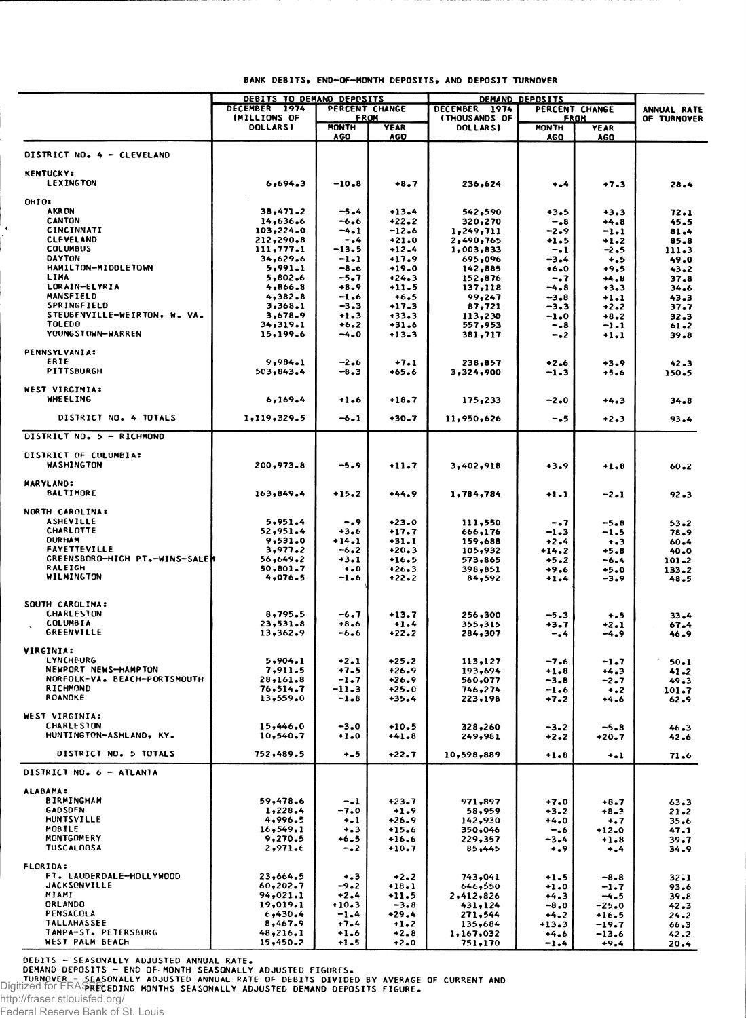|                                | DEBITS TO DEMAND DEPOSITS      |                      | DEMAND DEPOSITS    |                           |                  |                            |                  |
|--------------------------------|--------------------------------|----------------------|--------------------|---------------------------|------------------|----------------------------|------------------|
|                                | DECEMBER 1974                  | PERCENT CHANGE       |                    | DECEMBER 1974             |                  | PERCENT CHANGE             | ANNUAL RATE      |
|                                | (MILLIONS OF<br><b>DOLLARS</b> | FROM<br><b>MONTH</b> | <b>YEAR</b>        | (THOUSANDS OF<br>DOLLARS) | <b>MONTH</b>     | <b>FROM</b><br><b>YEAR</b> | OF TURNOVER      |
|                                |                                | <b>AGO</b>           | <b>AGO</b>         |                           | AGO              | <b>AGO</b>                 |                  |
|                                |                                |                      |                    |                           |                  |                            |                  |
| DISTRICT NO. 4 - CLEVELAND     |                                |                      |                    |                           |                  |                            |                  |
| <b>KENTUCKY:</b>               |                                |                      |                    |                           |                  |                            |                  |
| <b>LEXINGTON</b>               | 6.694.3                        | -10.8                | +8.7               | 236,624                   | $+ - 4$          | $+7.3$                     | 28.4             |
| OHIO:                          |                                |                      |                    |                           |                  |                            |                  |
| <b>AKRON</b>                   | 38,471.2                       | $-5 - 4$             | $+13.4$            | 542,590                   | +3.5             | $+3.3$                     | 72.1             |
| <b>CANTON</b>                  | 14,636.6                       | -6.6                 | $+22.2$            | 320,270                   | -.8              | $+4.8$                     | 45.5             |
| CINCINNATI                     | 103,224.0                      | -4.1                 | $-12.6$            | 1,249,711                 | $-2.9$           | $-1.1$                     | 81.4             |
| <b>CLEVELAND</b>               | 212,290.8                      | -.4                  | $+21.0$            | 2,490,765                 | $+1.5$           | +1.2                       | 85.8             |
| <b>COLUMBUS</b>                | 111,777.1                      | -13.5                | $+12.4$            | 1,003,833                 | -. 1             | -2.5                       | 111.3            |
| <b>DAYTON</b>                  | 34,629.6                       | $-1-1$               | $+17.9$            | 695,096                   | -3.4             | $+ .5$                     | 49.0             |
| HAMILTON-MIDDLETOWN            | 5,991.1                        | $-8.6$               | $+19.0$            | 142,885                   | $+6.0$           | $+9.5$                     | 43.2             |
| LIMA                           | 5,802.6                        | $-5-7$               | $+24.3$            | 152,876                   | -. 7             | $+4.8$                     | 37.8             |
| LORAIN-ELYRIA<br>MANSFIELD     | 4,866.8<br>4,382.8             | $+8.9$<br>$-1.6$     | $+11.5$<br>$+6.5$  | 137,118                   | -4.8<br>$-3.8$   | $+3.3$                     | 34.6             |
| <b>SPRINGFIELD</b>             | 3,368.1                        | $-3 - 3$             | $+17.3$            | 99,247<br>87,721          | $-3.3$           | $+1.1$<br>$+2.2$           | 43.3<br>37.7     |
| STEUBENVILLE-WEIRTON, W. VA.   | 3,678.9                        | $+1.3$               | $+33.3$            | 113,230                   | $-1.0$           | $+8.2$                     | $32 - 3$         |
| <b>TOLEDO</b>                  | 34,319.1                       | $+6.2$               | $+31.6$            | 557,953                   | $-18$            | $-1.1$                     | 61.2             |
| YOUNGSTOWN-WARREN              | 15,199.6                       | -4.0                 | $+13.3$            | 381,717                   | -.2              | $+1.1$                     | 39.8             |
|                                |                                |                      |                    |                           |                  |                            |                  |
| <b>PENNSYLVANIA:</b><br>ERIE   | 9,984.1                        |                      |                    |                           |                  |                            |                  |
| <b>PITTSBURGH</b>              | 503,843.4                      | $-2.6$<br>-8.3       | $+7.1$             | 238,857                   | $+2.6$           | $+3.9$                     | 42.3             |
|                                |                                |                      | $+65.6$            | 3,324,900                 | $-1.3$           | $+5.6$                     | 150.5            |
| WEST VIRGINIA:                 |                                |                      |                    |                           |                  |                            |                  |
| <b>WHEELING</b>                | 6,169.4                        | $+1.6$               | $+18.7$            | 175,233                   | $-2.0$           | $+4.3$                     | 34.8             |
|                                |                                |                      |                    |                           |                  |                            |                  |
| DISTRICT NO. 4 TOTALS          | 1, 119, 329.5                  | $-6 - 1$             | $+30.7$            | 11,950,626                | -.5              | $+2.3$                     | 93.4             |
| DISTRICT NO. 5 - RICHMOND      |                                |                      |                    |                           |                  |                            |                  |
|                                |                                |                      |                    |                           |                  |                            |                  |
| DISTRICT OF COLUMBIA:          |                                |                      |                    |                           |                  |                            |                  |
| <b>WASHINGTON</b>              | 200,973.8                      | -5.9                 | $+11.7$            | 3,402,918                 | $+3.9$           | $+1.8$                     | 60.2             |
|                                |                                |                      |                    |                           |                  |                            |                  |
| <b>MARYLAND:</b>               |                                |                      |                    |                           |                  |                            |                  |
| <b>BALTIMORE</b>               | 163,849.4                      | $+15.2$              | $+44.9$            | 1,784,784                 | $+1.1$           | -2.1                       | 92.3             |
| NORTH CAROLINA:                |                                |                      |                    |                           |                  |                            |                  |
| <b>ASHEVILLE</b>               | 5,951.4                        | -.9                  | $+23.0$            | 111,550                   | -.7              | $-5.8$                     | 53.2             |
| CHARLOTTE                      | 52,951.4                       | +3.6                 | $+17.7$            | 666,176                   | -1.3             | $-1.5$                     | 78.9             |
| <b>DURHAM</b>                  | 9,531.0                        | $+14 - 1$            | $+31.1$            | 159,688                   | $+2.4$           | $+ 3 3 $                   | 60.4             |
| <b>FAYETTEVILLE</b>            | 3,977.2                        | -6.2                 | $+20.3$            | 105,932                   | $+14.2$          | $+5.8$                     | 40.0             |
| GREENSBORO-HIGH PT.-WINS-SALEM | 56,649.2                       | $+3.1$               | $+16.5$            | 573,865                   | $+5.2$           | -6.4                       | 101.2            |
| RALEIGH                        | 50,801.7                       | $\ddotsc$            | $+26.3$            | 398,851                   | +9.6             | +5.0                       | $133 - 2$        |
| WILMINGTON                     | 4,076.5                        | -1.6                 | $+22.2$            | 84,592                    | $+1.4$           | -3.9                       | 48.5             |
|                                |                                |                      |                    |                           |                  |                            |                  |
| SOUTH CAROLINA:                |                                |                      |                    |                           |                  |                            |                  |
| <b>CHARLESTON</b>              | 8,795.5                        | $-6.7$               | $+13.7$            | 256,300                   | $-5.3$           | +.5                        | 33.4             |
| <b>COLUMBIA</b>                | 23,531.8                       | $+8.6$               | $+1.4$             | 355,315                   | +3.7             | $+2.1$                     | 67.4             |
| <b>GREENVILLE</b>              | 13,362.9                       | -6.6                 | $+22.2$            | 284,307                   | -.4              | -4.9                       | 46.9             |
| VIRGINIA:                      |                                |                      |                    |                           |                  |                            |                  |
| LYNCHEURG                      | 5,904.1                        | $+2 - 1$             | $+25.2$            | 113,127                   | $-7.6$           | $-1 - 7$                   | 50.1             |
| NEWPORT NEWS-HAMPTON           | 7,911.5                        | $+7.5$               | $+26.9$            | 193,694                   | $+1.8$           | +4.3                       | $41 - 2$         |
| NORFOLK-VA. BEACH-PORTSMOUTH   | 28,161.8                       | -1.7                 | $+26.9$            | 560,077                   | $-3 - 8$         | -2.7                       | 49.3             |
| <b>RICHMOND</b>                | 76,514.7                       | -11.3                | $+25.0$            | 746,274                   | $-1.6$           | $+ - 2$                    | 101.7            |
| ROANOKE                        | 13,559.0                       | $-1 - 8$             | +35.4              | 223,198                   | +7.2             | +4.6                       | 62.Y             |
| WEST VIRGINIA:                 |                                |                      |                    |                           |                  |                            |                  |
| <b>CHARLESTON</b>              | 15,446.0                       | -3.0                 | $+10.5$            | 328,260                   | $-3.2$           | $-5.8$                     | 46.3             |
| HUNTINGTON-ASHLAND, KY.        | 10,540.7                       | $+1.0$               | $+41.8$            | 249,981                   | $+2 - 2$         | $+20.7$                    | 42.6             |
|                                |                                |                      |                    |                           |                  |                            |                  |
| DISTRICT NO. 5 TOTALS          | 752,489.5                      | $+ - 5$              | $+22.7$            | 10,598,889                | $+1.8$           | $+ -1$                     | 71.6             |
| DISTRICT NO. 6 - ATLANTA       |                                |                      |                    |                           |                  |                            |                  |
|                                |                                |                      |                    |                           |                  |                            |                  |
| <b>ALABAMA:</b>                |                                |                      |                    |                           |                  |                            |                  |
| BIRMINGHAM                     | 59,478.6                       | $-1$                 | $+23.7$            | 971,897                   | $+7.0$           | $+8.7$                     | 63.3             |
| GADSDEN                        | 1,228.4                        | -7.0                 | $+1.9$             | 58,959                    | $+3.2$           | $+8.3$                     | $21 - 2$         |
| HUNTSVILLE<br><b>MOBILE</b>    | 4,996.5<br>16, 549.1           | $+ - 1$<br>$+ - 3$   | $+26.9$<br>$+15.6$ | 142,930<br>350,046        | $+4.0$           | $+1.7$                     | 35.6             |
| MONTGOMERY                     | 9,270.5                        | +6.5                 | $+16.6$            | 229,357                   | $-16$<br>-3.4    | $+12.0$<br>$+1.8$          | 47.1<br>39.7     |
| <b>TUSCALOOSA</b>              | 2,971.6                        | $-0.2$               | $+10.7$            | 85,445                    | $+ -9$           | $+ - 4$                    | 34.9             |
|                                |                                |                      |                    |                           |                  |                            |                  |
| FLORIDA:                       |                                |                      |                    |                           |                  |                            |                  |
| FT. LAUDERDALE-HOLLYWOOD       | 23,664.5                       | $+ - 3$              | $+2-2$             | 743,041                   | $+1.5$           | $-8.8$                     | $32 - 1$         |
| <b>JACKSONVILLE</b><br>MIAMI   | 60,202.7                       | -9.2                 | $+18.1$            | 646,550                   | $+1.0$           | $-1.7$                     | 93.6             |
| ORLANDO                        | 94,021.1<br>19,019.1           | $+2.4$<br>$+10-3$    | $+11.5$<br>$-3.8$  | 2,412,826<br>431,124      | $+4.3$<br>$-8.0$ | $-4.5$<br>$-25.0$          | $39 - 8$         |
| PENSACOLA                      | 6,430.4                        | $-1 - 4$             | +29.4              | 271,544                   | $+4.2$           | $+16.5$                    | 42.3<br>$24 - 2$ |
| <b>TALLAHASSEE</b>             | 8,467.9                        | $+7.4$               | $+1.2$             | 135,684                   | $+13.3$          | -19.7                      | 66.3             |
| TAMPA-ST. PETERSBURG           | 48,216.1                       | $+1.6$               | $+2 - 8$           | 1,167,032                 | $+4.6$           | -13.6                      | 42.2             |
| WEST PALM BEACH                | 15,450.2                       | $+1.5$               | $+2.0$             | 751,170                   | $-1.4$           | $+9.4$                     | $20 - 4$         |

DEBITS - SEASONALLY ADJUSTED ANNUAL RATE.<br>DEMAND DEPOSITS - END OF MONTH SEASONALLY ADJUSTED FIGURES.<br>TURNOVER - SEASONALLY ADJUSTED ANNUAL RATE OF DEBITS DIVIDED BY AVERAGE OF CURRENT AND<br>Digitized for FRASTRECEDING MONTH

http://fraser.stlouisfed.org/

 $\overline{a}$ 

Federal Reserve Bank of St. Louis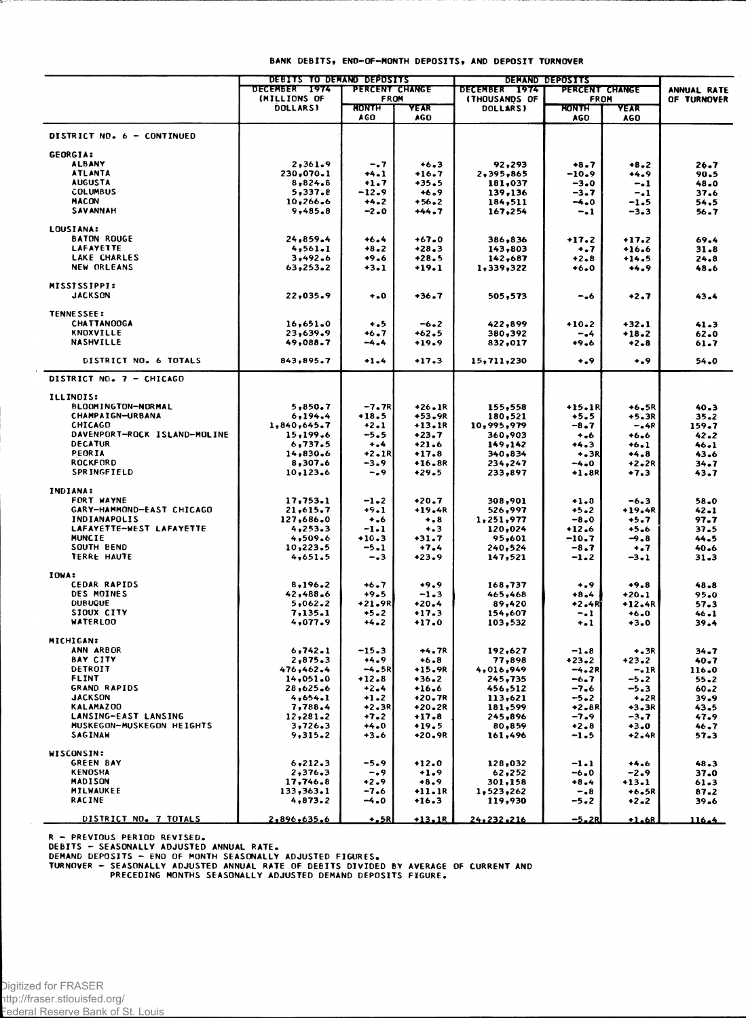|                                       | <b>DEBITS TO DEMAND DEPOSITS</b> |                |             | <b>DEMAND DEPOSITS</b> |                     |                    |             |
|---------------------------------------|----------------------------------|----------------|-------------|------------------------|---------------------|--------------------|-------------|
|                                       | DECEMBER 1974                    | PERCENT CHANGE |             | DECEMBER 1974          | PERCENT CHANGE      |                    | ANNUAL RATE |
|                                       | (MILLIONS OF                     | FROM           |             | <b>(THOUSANDS OF</b>   | <b>FROM</b>         |                    | OF TURNOVER |
|                                       | <b>DOLLARSI</b>                  | HONTH<br>AGO.  | YEAR<br>AGO | DOLLARS)               | MONTH<br><b>AGO</b> | YEAR<br><b>AGO</b> |             |
|                                       |                                  |                |             |                        |                     |                    |             |
| DISTRICT NO. 6 - CONTINUED            |                                  |                |             |                        |                     |                    |             |
| <b>GEORGIA:</b>                       |                                  |                |             |                        |                     |                    |             |
| <b>ALBANY</b>                         | 2,361.9                          | $-.7$          | $+6.3$      | 92,293                 | $+8.7$              | $+8.2$             | 26.7        |
| <b>ATLANTA</b>                        | 230,070.1                        | $+4.1$         | $+16.7$     | 2,395,865              | $-10.9$             | +4.9               | 90.5        |
| <b>AUGUSTA</b>                        | 8,824.8                          | $+1.7$         | +35.5       | 181,037                | $-3.0$              | $-.1$              | 48.0        |
| <b>COLUMBUS</b>                       | 5,337.8                          | -12.9          | $+6.9$      | 139,136                | -3.7                | $-1$               | 37.6        |
| <b>MACON</b>                          | 10,266.6                         | $+4.2$         | $+56.2$     | 184,511                | -4.0                | -1.5               | 54.5        |
| <b>SAVANNAH</b>                       | 9,485.8                          | $-2.0$         | +44.7       | 167,254                | $-1$                | $-3-3$             | 56.7        |
| LOUSIANA:                             |                                  |                |             |                        |                     |                    |             |
| <b>BATON ROUGE</b>                    | 24,859.4                         | $+6.4$         | $+67.0$     | 386,836                | $+17.2$             | $+17.2$            | 69.4        |
| <b>LAFAYETTE</b>                      | 4,561.1                          | $+8.2$         | $+28.3$     | 143,803                | $\ddotsc$           | $+16.6$            | 31.8        |
| LAKE CHARLES                          | 3,492.6                          | $+9.6$         | $+28.5$     | 142,687                | $+2.8$              | $+14.5$            | 24.8        |
| NEW ORLEANS                           | 63,253.2                         | $+3 - 1$       | +19.1       | 1,339,322              | $+6.0$              | $+4.9$             | 48.6        |
|                                       |                                  |                |             |                        |                     |                    |             |
| <b>MISSISSIPPI:</b><br><b>JACKSON</b> | 22,035.9                         | $-0$           | $+36.7$     | 505,573                | -.6                 | $+2.7$             | 43.4        |
|                                       |                                  |                |             |                        |                     |                    |             |
| <b>TENNESSEE:</b>                     |                                  |                |             |                        |                     |                    |             |
| <b>CHATTANOOGA</b>                    | 16,651.0                         | $+ 5$          | $-6.2$      | 422,899                | +10.2               | $+32.1$            | 41.3        |
| <b>KNOXVILLE</b>                      | 23,639.9                         | $+6.7$         | +62.5       | 380,392                | -.4                 | $+18.2$            | 62.0        |
| <b>NASHVILLE</b>                      | 49,088.7                         | $-4.4$         | $+19.9$     | 832,017                | $+9.6$              | $+2 - 8$           | 61.7        |
| DISTRICT NO. 6 TOTALS                 | 843,895.7                        | $+1.4$         | $+17.3$     | 15,711,230             | 0.0                 | $+$ .9             | 54.0        |
| DISTRICT NO. 7 - CHICAGO              |                                  |                |             |                        |                     |                    |             |
| ILLINOIS:                             |                                  |                |             |                        |                     |                    |             |
|                                       |                                  |                |             |                        |                     |                    |             |
| <b>BLOOMINGTON-NORMAL</b>             | 5,850.7                          | $-7.7R$        | $+26.1R$    | 155,558                | +15.1R              | $+6.5R$            | 40.3        |
| CHAMPAIGN-URBANA                      | 6,194.4                          | $+18.5$        | +53.9R      | 180,521                | $+5.5$              | $+5.3R$            | 35.2        |
| CHICAGO                               | 1,840,645.7                      | $+2.1$         | $+13.1R$    | 10,995,979             | -8.7                | $-.4R$             | 159.7       |
| DAVENPORT-ROCK ISLAND-MOLINE          | 15,199.6                         | $-5.5$         | $+23.7$     | 360,903                | $+1.6$              | $+6.6$             | 42.2        |
| <b>DECATUR</b>                        | 6,737.5                          | $+$ ,4         | $+21.6$     | 149,142                | $+4.3$              | $+6.1$             | 46.1        |
| PEORIA                                | 14,830.6                         | $+2.1R$        | $+17.8$     | 340,834                | $+3R$               | $+4.8$             | 43.6        |
| <b>ROCKFORD</b><br><b>SPRINGFIELD</b> | 8,307.6                          | $-3.9$         | +16.8R      | 234,247                | -4.0                | +2.2R              | 34.7        |
|                                       | 10,123.6                         | -.9            | $+29.5$     | 233,897                | $+1.8R$             | $+7.3$             | 43.7        |
| INDIANA:                              |                                  |                |             |                        |                     |                    |             |
| FORT WAYNE                            | 17,753.1                         | $-1 - 2$       | $+20.7$     | 308,901                | $+1.8$              | $-6.3$             | 58.0        |
| GARY-HAMMOND-EAST CHICAGO             | 21,615.7                         | $+9.1$         | +19.4R      | 526,997                | $+5.2$              | $+19.4R$           | 42.1        |
| <b>INDIANAPOLIS</b>                   | 127,686.0                        | $+ .6$         | $+ 8$       | 1,251,977              | $-8.0$              | $+5.7$             | 97.7        |
| LAFAYETTE-WEST LAFAYETTE              | 4,253.3                          | $-1.1$         | $^{+.3}$    | 120,024                | +12.6               | $+5.6$             | 37.5        |
| <b>MUNCIE</b>                         | 4,509.6                          | $+10.3$        | $+31.7$     | 95,601                 | -10.7               | $-9.8$             | 44.5        |
| SOUTH BEND                            | 10,223.5                         | $-5.1$         | $+7.4$      | 240,524                | -8.7                | $+ - 7$            | 40.6        |
| TERRE HAUTE                           | 4,651.5                          | -.3            | $+23.9$     | 147,521                | $-1-2$              | $-3.1$             | $31-3$      |
| IOWA:                                 |                                  |                |             |                        |                     |                    |             |
| <b>CEDAR RAPIDS</b>                   | 8,196.2                          | $+6.7$         | $+9.9$      | 168,737                | $+ 0.9$             | $+9.8$             | $48 - 8$    |
| DES MOINES                            | 42,488.6                         | $+9.5$         | $-1-3$      | 465,468                | $+8.4$              | $+20.1$            | 95.0        |
| <b>DUBUQUE</b>                        | 5,062.2                          | $+21.9R$       | $+20.4$     | 89,420                 | $+2.4R$             | +12.4R             | 57.3        |
| <b>SIOUX CITY</b>                     | 7,135.1                          | $+5 - 2$       | $+17.3$     | 154,607                | $-1$                | $+6.0$             | 46.1        |
| <b>WATERLOO</b>                       | 4,077.9                          | $+4.2$         | $+17.0$     | 103,532                | $+1$                | $+3.0$             | 39.4        |
|                                       |                                  |                |             |                        |                     |                    |             |
| MICHIGAN:                             |                                  |                |             |                        |                     |                    |             |
| ANN ARBOR                             | 6,742.1                          | $-15.3$        | $+4.7R$     | 192,627                | $-1.8$              | +.3R               | 34.7        |
| <b>BAY CITY</b>                       | 2,875.3                          | $+4.9$         | $+6.8$      | 77,898                 | $+23.2$             | +23.2              | 40.7        |
| DETROIT                               | 476,462.4                        | -4.5R          | $+15.9R$    | 4,016,949              | $-4.2R$             | $-.1R$             | 116.0       |
| FLINT                                 | 14,051.0                         | $+12.8$        | $+36.2$     | 245,735                | $-6.7$              | $-5.2$             | 55.2        |
| <b>GRAND RAPIDS</b>                   | 28,625.6                         | $+2.4$         | $+16.6$     | 456,512                | -7.6                | $-5.3$             | $60 - 2$    |
| <b>JACKSON</b>                        | 4,654.1                          | $+1.2$         | +20.7R      | 113,621                | $-5 - 2$            | $+2R$              | 39.9        |
| KALAMAZ00                             | 7,788.4                          | $+2.3R$        | $+20.2R$    | 181,599                | $+2.8R$             | $+3.3R$            | 43.5        |
| LANSING-EAST LANSING                  | 12,281.2                         | $+7.2$         | $+17.8$     | 245,896                | -7.9                | $-3.7$             | 47.9        |
| MUSKEGON-MUSKEGON HEIGHTS             | 3,726.3                          | $+4.0$         | $+19.5$     | 80,859                 | $+2 - 8$            | $+3.0$             | 46.7        |
| <b>SAGINAW</b>                        | 9,315.2                          | $+3.6$         | $+20.9R$    | 161,496                | $-1.5$              | $+2.4R$            | 57.3        |
| WISCONSIN:                            |                                  |                |             |                        |                     |                    |             |
| <b>GREEN BAY</b>                      | 6, 212.3                         | $-5.9$         | $+12.0$     | 128,032                | $-1.1$              | $+4.6$             | 48.3        |
| <b>KENOSHA</b>                        | 2,376.3                          | -.9            | $+1.9$      | 62,252                 | -6.0                | $-2.9$             | 37.0        |
| MADISON                               | 17,746.8                         | $+2.9$         | $+8.9$      | 301,158                | $+8.4$              | +13.1              | 61.3        |
| <b>MILWAUKEE</b>                      | 133,363.1                        | $-7.6$         | $+11.1R$    | 1,523,262              | $-0.8$              | $+6.5R$            | 87.2        |
| <b>RACINE</b>                         | 4,873.2                          | $-4.0$         | $+16.3$     | 119,930                | -5.2                | $+2 - 2$           | 39.6        |
|                                       |                                  |                |             |                        |                     |                    |             |
| DISTRICT NO. 7 TOTALS                 | 2,896,635.6                      | $+$ , 5R       | $+13.1R$    | 24,232,216             | $-5.2R$             | $+1.68$            | 116.4       |

R – PREVIOUS PERIOD REVISED.<br>DEBITS – SEASONALLY ADJUSTED ANNUAL RATE.<br>DEMAND DEPOSITS – END OF MONTH SEASONALLY ADJUSTED FIGURES.<br>TURNOVER – SEASONALLY ADJUSTED ANNUAL RATE OF DEBITS DIVIDED BY AVERAGE OF CURRENT AND<br>PREC

 $\sim$ 

 $\bar{z}$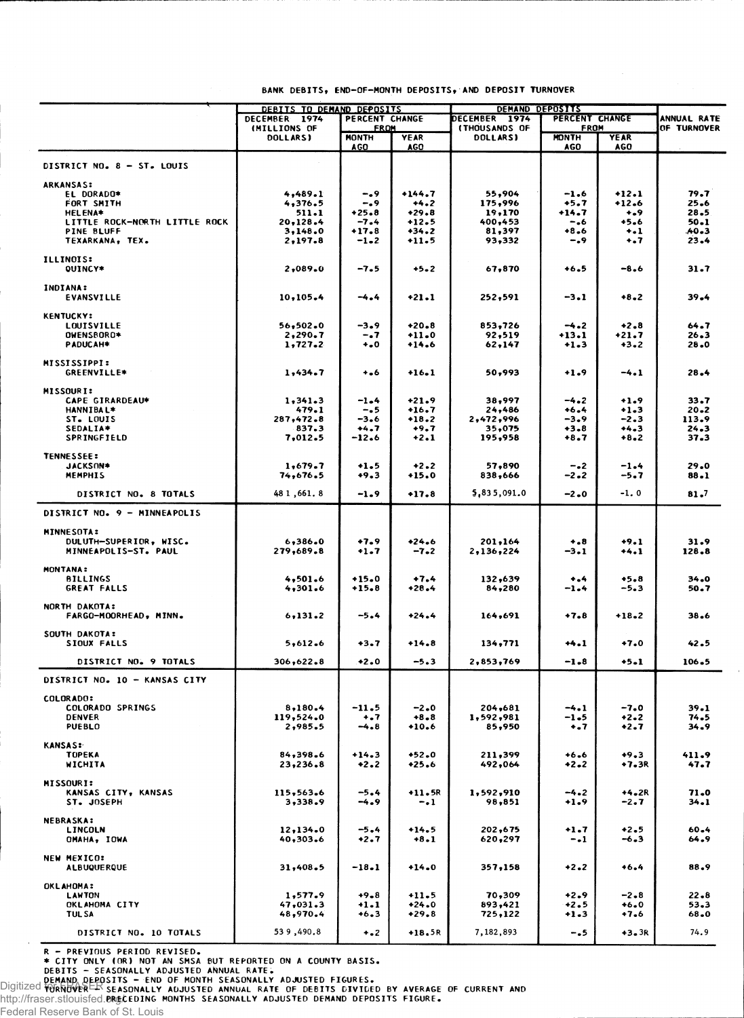|                                        | <u>DEBITS TO DEMAND DEPOSITS</u> |                               |                    | <b>DECEMBER 1974</b> | <b>DEMAND DEPOSITS</b><br>PERCENT CHANGE |                   |                            |
|----------------------------------------|----------------------------------|-------------------------------|--------------------|----------------------|------------------------------------------|-------------------|----------------------------|
|                                        | DECEMBER 1974<br>(MILLIONS OF    | PERCENT CHANGE<br><b>FROM</b> |                    | <b>(THOUSANDS OF</b> | FROM                                     |                   | ANNUAL RATE<br>OF TURNOVER |
|                                        | DOLLARS)                         | MONTH                         | <b>YEAR</b>        | <b>DOLLARS)</b>      | <b>MONTH</b>                             | <b>YEAR</b>       |                            |
|                                        |                                  | AGO                           | <b>AGO</b>         |                      | <b>AGO</b>                               | <b>AGO</b>        |                            |
| DISTRICT NO. 8 - ST. LOUIS             |                                  |                               |                    |                      |                                          |                   |                            |
|                                        |                                  |                               |                    |                      |                                          |                   |                            |
| <b>ARKANSAS:</b><br>EL DORADO*         | 4,489.1                          | -.9                           | $+144.7$           | 55,904               | $-1.6$                                   | $+12.1$           | 79.7                       |
| FORT SMITH                             | 4,376.5                          | -.9                           | $+4.2$             | 175,996              | +5.7                                     | $+12.6$           | $25 - 6$                   |
| <b>HELENA*</b>                         | 511.1                            | $+25.8$                       | $+29.8$            | 19,170               | +14.7                                    | $+ -9$            | 28.5                       |
| LITTLE ROCK-NORTH LITTLE ROCK          | 20,128.4                         | $-7.4$                        | $+12.5$            | 400,453              | -.6                                      | $+5.6$<br>$+ -1$  | 50.1<br>.40.3              |
| <b>PINE BLUFF</b><br>TEXARKANA, TEX.   | 3,148.0<br>2,197.8               | $+17.8$<br>$-1 - 2$           | $+34.2$<br>$+11.5$ | 81,397<br>93,332     | $+8.6$<br>-.9                            | $+ - 7$           | $23 - 4$                   |
|                                        |                                  |                               |                    |                      |                                          |                   |                            |
| <b>ILLINOIS:</b>                       |                                  |                               |                    |                      |                                          |                   |                            |
| <b>QUINCY*</b>                         | 2,089.0                          | -7.5                          | $+5.2$             | 67,870               | $+6.5$                                   | $-8.6$            | 31.7                       |
| INDIANA:                               |                                  |                               |                    |                      |                                          |                   |                            |
| <b>EVANSVILLE</b>                      | 10, 105.4                        | -4.4                          | $+21.1$            | 252,591              | $-3.1$                                   | $+8.2$            | 39.4                       |
|                                        |                                  |                               |                    |                      |                                          |                   |                            |
| <b>KENTUCKY:</b>                       |                                  | $-3.9$                        | $+20.8$            |                      | $-4.2$                                   | $+2.8$            | 64.7                       |
| <b>LOUISVILLE</b><br>OWENSBORD*        | 56,502.0<br>2,290.7              | -.7                           | $+11.0$            | 853,726<br>92,519    | +13.1                                    | $+21.7$           | $26 - 3$                   |
| PADUCAH*                               | 1,727.2                          | $\ddotsc$                     | $+14.6$            | 62,147               | $+1.3$                                   | +3.2              | 28.0                       |
|                                        |                                  |                               |                    |                      |                                          |                   |                            |
| <b>MISSISSIPPI:</b>                    |                                  |                               |                    |                      |                                          |                   |                            |
| GREENVILLE*                            | 1,434.7                          | $+ 0.6$                       | $+16.1$            | 50,993               | $+1.9$                                   | $-4.1$            | 28.4                       |
| <b>MISSOURI:</b>                       |                                  |                               |                    |                      |                                          |                   |                            |
| <b>CAPE GIRARDEAU*</b>                 | 1,341.3                          | -1.4                          | $+21.9$            | 38,997               | $-4.2$                                   | $+1.9$            | 33.7                       |
| <b>HANNIBAL*</b>                       | 479.1                            | $-0.5$                        | $+16.7$            | 24,486               | $+6.4$                                   | $+1.3$            | $20 - 2$                   |
| ST. LOUIS                              | 287,472.8                        | -3.6                          | $+18.2$            | 2,472,996            | -3.9                                     | $-2.3$            | 113.9                      |
| SEDALIA*<br><b>SPRINGFIELD</b>         | 837.3<br>7,012.5                 | +4.7<br>$-12.6$               | $+9.7$<br>$+2.1$   | 35,075<br>195,958    | $+3.8$<br>$+8.7$                         | $+4.3$<br>$+8.2$  | $24 - 3$<br>37.3           |
|                                        |                                  |                               |                    |                      |                                          |                   |                            |
| <b>TENNESSEE:</b>                      |                                  |                               |                    |                      |                                          |                   |                            |
| JACKSON*                               | 1,679.7                          | $+1.5$                        | $+2.2$             | 57,890               | $-2$                                     | -1.4              | 29.0                       |
| <b>MEMPHIS</b>                         | 74,676.5                         | +9.3                          | +15.0              | 838,666              | -2.2                                     | -5.7              | 88.1                       |
| DISTRICT NO. 8 TOTALS                  | 48 1,661.8                       | $-1.9$                        | $+17.8$            | 5,835,091.0          | $-2.0$                                   | $-1.0$            | 81.7                       |
|                                        |                                  |                               |                    |                      |                                          |                   |                            |
| DISTRICT NO. 9 - MINNEAPOLIS           |                                  |                               |                    |                      |                                          |                   |                            |
| <b>MINNESOTA:</b>                      |                                  |                               |                    |                      |                                          |                   |                            |
| DULUTH-SUPERIOR, WISC.                 | 6,386.0                          | +7.9                          | $+24.6$            | 201,164              | $+ - 8$                                  | $+9.1$            | 31.9                       |
| MINNEAPOLIS-ST. PAUL                   | 279,689.8                        | $+1.7$                        | $-7 - 2$           | 2,136,224            | -3.1                                     | $+4.1$            | 128.8                      |
| <b>MONTANA:</b>                        |                                  |                               |                    |                      |                                          |                   |                            |
| <b>BILLINGS</b>                        | 4,501.6                          | $+15.0$                       | $+7.4$             | 132,639              | $+ - 4$                                  | $+5.8$            | 34.0                       |
| GREAT FALLS                            | 4,301.6                          | $+15.8$                       | +28.4              | 84,280               | -1.4                                     | $-5.3$            | 50.7                       |
|                                        |                                  |                               |                    |                      |                                          |                   |                            |
| NORTH DAKOTA:<br>FARGO-MOORHEAD, MINN. | 6, 131.2                         | $-5.4$                        | $+24.4$            | 164,691              | $+7.8$                                   | $+18.2$           | 38.6                       |
|                                        |                                  |                               |                    |                      |                                          |                   |                            |
| SOUTH DAKOTA:                          |                                  |                               |                    |                      |                                          |                   |                            |
| SIOUX FALLS                            | 5,612.6                          | $+3 - 7$                      | $+14.8$            | 134,771              | $+4.1$                                   | +7.0              | 42.5                       |
| DISTRICT NO. 9 TOTALS                  | 306,622.8                        | $+2.0$                        | $-5.3$             | 2,853,769            | $-1 - 8$                                 | $+5.1$            | 106.5                      |
|                                        |                                  |                               |                    |                      |                                          |                   |                            |
| DISTRICT NO. 10 - KANSAS CITY          |                                  |                               |                    |                      |                                          |                   |                            |
| COLORADO:                              |                                  |                               |                    |                      |                                          |                   |                            |
| COLORADO SPRINGS                       | 8,180.4                          | -11.5                         | -2.0               | 204,681              | $-4.1$                                   | $-7.0$            | 39.1                       |
| <b>DENVER</b>                          | 119,524.0                        | $+ - 7$                       | $+8.8$             | 1,592,981            | $-1-5$                                   | $+2 - 2$          | 74.5                       |
| <b>PUEBLO</b>                          | 2,985.5                          | $-4.8$                        | $+10.6$            | 85,950               | $\ddotsc$                                | $+2.7$            | $34 - 9$                   |
| <b>KANSAS:</b>                         |                                  |                               |                    |                      |                                          |                   |                            |
| TOPEKA                                 | 84,398.6                         | $+14.3$                       | $+52.0$            | 211,399              | $+6.6$                                   | $+9.3$            | 411.9                      |
| WICHITA                                | 23,236.8                         | $+2.2$                        | +25.6              | 492,064              | +2.2                                     | +7.3R             | 47.7                       |
|                                        |                                  |                               |                    |                      |                                          |                   |                            |
| <b>MISSOURI:</b>                       |                                  |                               |                    |                      |                                          |                   |                            |
| KANSAS CITY, KANSAS<br>ST. JOSEPH      | 115,563.6<br>3,338.9             | $-5.4$<br>-4.9                | +11.5R<br>$-1$     | 1,592,910<br>98,851  | $-4.2$<br>$+1.9$                         | $+4.2R$<br>$-2.7$ | 71.0<br>34.1               |
|                                        |                                  |                               |                    |                      |                                          |                   |                            |
| <b>NEBRASKA:</b>                       |                                  |                               |                    |                      |                                          |                   |                            |
| LINCOLN                                | 12,134.0                         | $-5.4$                        | $+14.5$            | 202,675              | $+1.7$                                   | $+2.5$            | $60 - 4$                   |
| OMAHA, IOWA                            | 40,303.6                         | $+2.7$                        | $+8.1$             | 620,297              | $-1$                                     | $-6.3$            | 64.9                       |
| NEW MEXICO:                            |                                  |                               |                    |                      |                                          |                   |                            |
| <b>ALBUQUERQUE</b>                     | 31,408.5                         | -18.1                         | $+14.0$            | 357,158              | $+2.2$                                   | $+6.4$            | 88.9                       |
|                                        |                                  |                               |                    |                      |                                          |                   |                            |
| <b>OKLAHOMA:</b><br><b>LAWTON</b>      | 1,577.9                          | $+9 - 8$                      | $+11.5$            | 70,309               | $+2.9$                                   | -2.8              | $22 - 8$                   |
| OKLAHOMA CITY                          | 47,031.3                         | $+1.1$                        | $+24.0$            | 893,421              | $+2.5$                                   | $+6.0$            | 53.3                       |
| <b>TUL SA</b>                          | 48,970.4                         | $+6.3$                        | $+29.8$            | 725,122              | $+1.3$                                   | +7.6              | 68.0                       |
|                                        |                                  |                               |                    |                      |                                          |                   |                            |
| DISTRICT NO. 10 TOTALS                 | 539,490.8                        | $+$ .2                        | $+18.5R$           | 7,182,893            | -.5                                      | +3.3R             | 74.9                       |

R - PREVIOUS PERIOD REVISED.<br>
\* CITY ONLY (OR) NOT AN SMSA BUT REPORTED ON A COUNTY BASIS.<br>
DEBITS - SEASONALLY ADJUSTED ANNUAL RATE.<br>
DIGITIZED FORMAD DEPOSITS - END OF MONTH SEASONALLY ADJUSTED FIGURES.<br>
DIGITIZED FORMAD

Federal Reserve Bank of St. Louis